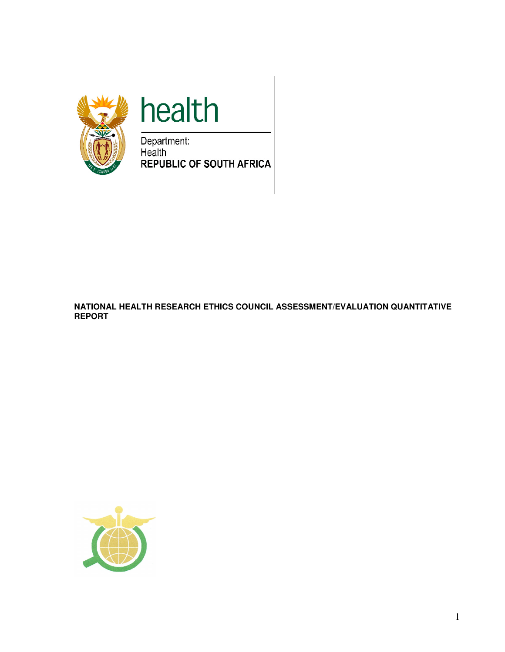

# health

Department: Health **REPUBLIC OF SOUTH AFRICA** 

#### **NATIONAL HEALTH RESEARCH ETHICS COUNCIL ASSESSMENT/EVALUATION QUANTITATIVE REPORT**

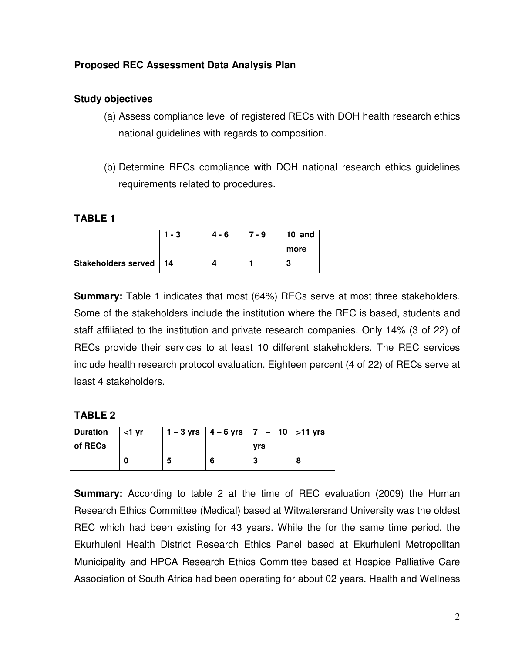## **Proposed REC Assessment Data Analysis Plan**

## **Study objectives**

- (a) Assess compliance level of registered RECs with DOH health research ethics national guidelines with regards to composition.
- (b) Determine RECs compliance with DOH national research ethics guidelines requirements related to procedures.

## **TABLE 1**

|                          | $1 - 3$ | 4 - 6 | 7 - 9 | 10 and |
|--------------------------|---------|-------|-------|--------|
|                          |         |       |       | more   |
| Stakeholders served   14 |         |       |       |        |

**Summary:** Table 1 indicates that most (64%) RECs serve at most three stakeholders. Some of the stakeholders include the institution where the REC is based, students and staff affiliated to the institution and private research companies. Only 14% (3 of 22) of RECs provide their services to at least 10 different stakeholders. The REC services include health research protocol evaluation. Eighteen percent (4 of 22) of RECs serve at least 4 stakeholders.

## **TABLE 2**

| <b>Duration</b> | $\vert$ <1 vr |   | $1 - 3$ yrs $  4 - 6$ yrs $  7 - 10  $ > 11 yrs |  |
|-----------------|---------------|---|-------------------------------------------------|--|
| of RECs         |               |   | <b>vrs</b>                                      |  |
|                 |               | b |                                                 |  |

**Summary:** According to table 2 at the time of REC evaluation (2009) the Human Research Ethics Committee (Medical) based at Witwatersrand University was the oldest REC which had been existing for 43 years. While the for the same time period, the Ekurhuleni Health District Research Ethics Panel based at Ekurhuleni Metropolitan Municipality and HPCA Research Ethics Committee based at Hospice Palliative Care Association of South Africa had been operating for about 02 years. Health and Wellness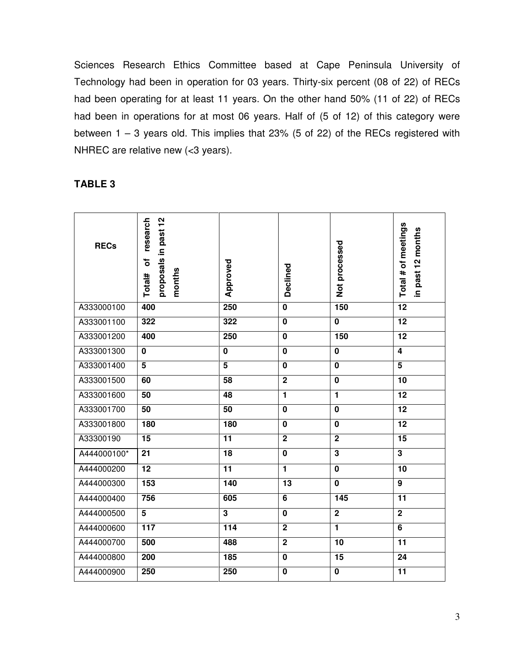Sciences Research Ethics Committee based at Cape Peninsula University of Technology had been in operation for 03 years. Thirty-six percent (08 of 22) of RECs had been operating for at least 11 years. On the other hand 50% (11 of 22) of RECs had been in operations for at most 06 years. Half of (5 of 12) of this category were between 1 – 3 years old. This implies that 23% (5 of 22) of the RECs registered with NHREC are relative new (<3 years).

## **TABLE 3**

| <b>RECs</b> | proposals in past 12<br>research<br>৳<br>months<br>Total# | Approved        | Declined       | Not processed           | Total # of meetings<br>in past 12 months |
|-------------|-----------------------------------------------------------|-----------------|----------------|-------------------------|------------------------------------------|
| A333000100  | 400                                                       | 250             | $\mathbf 0$    | 150                     | $\overline{12}$                          |
| A333001100  | 322                                                       | 322             | $\bf{0}$       | $\overline{\mathbf{0}}$ | 12                                       |
| A333001200  | 400                                                       | 250             | $\mathbf 0$    | 150                     | $\overline{12}$                          |
| A333001300  | $\mathbf 0$                                               | $\pmb{0}$       | $\bf{0}$       | $\mathbf 0$             | $\overline{\mathbf{4}}$                  |
| A333001400  | $5\phantom{.0}$                                           | $5\phantom{.0}$ | $\bf{0}$       | $\pmb{0}$               | 5                                        |
| A333001500  | 60                                                        | 58              | $\mathbf 2$    | $\mathbf 0$             | 10                                       |
| A333001600  | $\overline{50}$                                           | 48              | $\mathbf{1}$   | $\overline{1}$          | 12                                       |
| A333001700  | 50                                                        | 50              | $\mathbf 0$    | $\mathbf 0$             | $\overline{12}$                          |
| A333001800  | 180                                                       | 180             | $\bf{0}$       | $\mathbf 0$             | 12                                       |
| A33300190   | 15                                                        | 11              | $\overline{2}$ | $\overline{2}$          | $\overline{15}$                          |
| A444000100* | 21                                                        | 18              | $\mathbf 0$    | $\overline{\mathbf{3}}$ | $\overline{\mathbf{3}}$                  |
| A444000200  | 12                                                        | 11              | $\mathbf{1}$   | $\mathbf 0$             | 10                                       |
| A444000300  | 153                                                       | 140             | 13             | $\overline{\mathbf{0}}$ | $\overline{9}$                           |
| A444000400  | 756                                                       | 605             | 6              | 145                     | 11                                       |
| A444000500  | $\overline{5}$                                            | $\mathbf 3$     | $\mathbf 0$    | $\overline{2}$          | $\overline{2}$                           |
| A444000600  | 117                                                       | 114             | $\mathbf 2$    | $\blacksquare$          | 6                                        |
| A444000700  | 500                                                       | 488             | $\overline{2}$ | $\overline{10}$         | 11                                       |
| A444000800  | 200                                                       | 185             | $\mathbf 0$    | 15                      | 24                                       |
| A444000900  | 250                                                       | 250             | $\bf{0}$       | $\mathbf 0$             | 11                                       |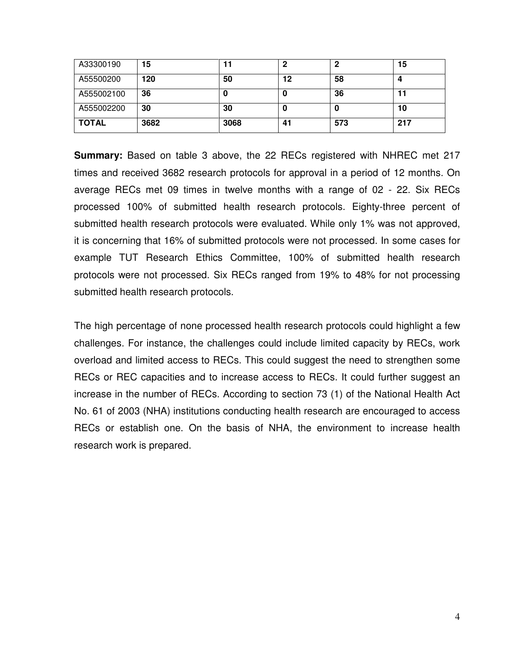| A33300190    | 15   |      | 2  |     | 15  |
|--------------|------|------|----|-----|-----|
| A55500200    | 120  | 50   | 12 | 58  |     |
| A555002100   | 36   | u    |    | 36  | 11  |
| A555002200   | 30   | 30   |    | J.  | 10  |
| <b>TOTAL</b> | 3682 | 3068 | 41 | 573 | 217 |

**Summary:** Based on table 3 above, the 22 RECs registered with NHREC met 217 times and received 3682 research protocols for approval in a period of 12 months. On average RECs met 09 times in twelve months with a range of 02 - 22. Six RECs processed 100% of submitted health research protocols. Eighty-three percent of submitted health research protocols were evaluated. While only 1% was not approved, it is concerning that 16% of submitted protocols were not processed. In some cases for example TUT Research Ethics Committee, 100% of submitted health research protocols were not processed. Six RECs ranged from 19% to 48% for not processing submitted health research protocols.

The high percentage of none processed health research protocols could highlight a few challenges. For instance, the challenges could include limited capacity by RECs, work overload and limited access to RECs. This could suggest the need to strengthen some RECs or REC capacities and to increase access to RECs. It could further suggest an increase in the number of RECs. According to section 73 (1) of the National Health Act No. 61 of 2003 (NHA) institutions conducting health research are encouraged to access RECs or establish one. On the basis of NHA, the environment to increase health research work is prepared.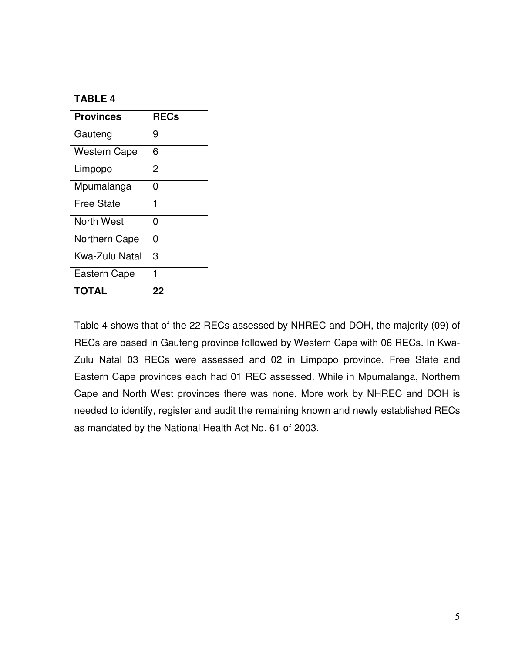## **TABLE 4**

| <b>Provinces</b>    | <b>RECs</b> |
|---------------------|-------------|
| Gauteng             | 9           |
| <b>Western Cape</b> | 6           |
| Limpopo             | 2           |
| Mpumalanga          | ი           |
| <b>Free State</b>   | 1           |
| North West          | 0           |
| Northern Cape       | N           |
| Kwa-Zulu Natal      | 3           |
| <b>Eastern Cape</b> | 1           |
| <b>TOTAL</b>        | 22          |

Table 4 shows that of the 22 RECs assessed by NHREC and DOH, the majority (09) of RECs are based in Gauteng province followed by Western Cape with 06 RECs. In Kwa-Zulu Natal 03 RECs were assessed and 02 in Limpopo province. Free State and Eastern Cape provinces each had 01 REC assessed. While in Mpumalanga, Northern Cape and North West provinces there was none. More work by NHREC and DOH is needed to identify, register and audit the remaining known and newly established RECs as mandated by the National Health Act No. 61 of 2003.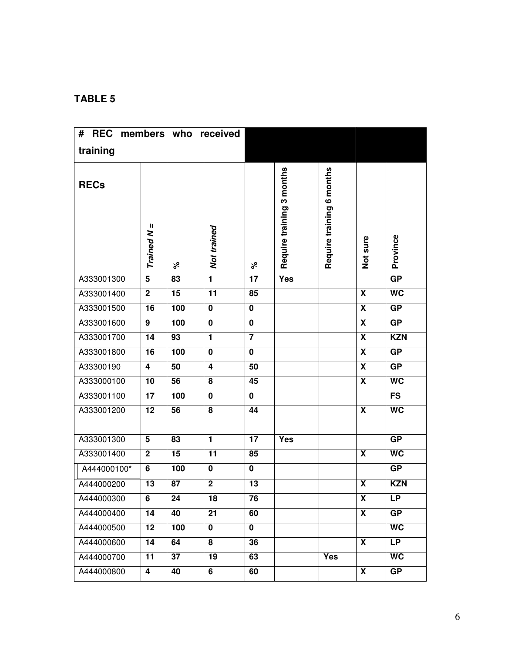## **TABLE 5**

| <b>REC</b><br># | members who<br>received |     |                         |                |                           |                           |                         |                 |
|-----------------|-------------------------|-----|-------------------------|----------------|---------------------------|---------------------------|-------------------------|-----------------|
| training        |                         |     |                         |                |                           |                           |                         |                 |
| <b>RECs</b>     | Trained N =             | ৡ   | Not trained             | ४              | Require training 3 months | Require training 6 months | Not sure                | Province        |
| A333001300      | $\overline{5}$          | 83  | $\blacksquare$          | 17             | <b>Yes</b>                |                           |                         | GP              |
| A333001400      | $\mathbf 2$             | 15  | 11                      | 85             |                           |                           | $\overline{\mathbf{X}}$ | <b>WC</b>       |
| A333001500      | 16                      | 100 | $\mathbf 0$             | $\mathbf 0$    |                           |                           | $\overline{\mathbf{x}}$ | GP              |
| A333001600      | $\overline{9}$          | 100 | $\overline{\mathbf{0}}$ | $\mathbf 0$    |                           |                           | $\overline{\mathbf{x}}$ | GP              |
| A333001700      | 14                      | 93  | $\blacksquare$          | $\overline{7}$ |                           |                           | $\overline{\mathbf{X}}$ | <b>KZN</b>      |
| A333001800      | 16                      | 100 | $\mathbf 0$             | $\mathbf 0$    |                           |                           | $\overline{\mathbf{x}}$ | GP              |
| A33300190       | 4                       | 50  | $\overline{\mathbf{4}}$ | 50             |                           |                           | $\overline{\mathbf{x}}$ | GP              |
| A333000100      | 10                      | 56  | 8                       | 45             |                           |                           | X                       | <b>WC</b>       |
| A333001100      | 17                      | 100 | $\mathbf 0$             | $\mathbf 0$    |                           |                           |                         | FS              |
| A333001200      | 12                      | 56  | 8                       | 44             |                           |                           | $\overline{\mathbf{x}}$ | <b>WC</b>       |
| A333001300      | 5                       | 83  | 1                       | 17             | Yes                       |                           |                         | <b>GP</b>       |
| A333001400      | $\mathbf{2}$            | 15  | 11                      | 85             |                           |                           | X                       | <b>WC</b>       |
| A444000100*     | 6                       | 100 | $\mathbf 0$             | $\pmb{0}$      |                           |                           |                         | GP              |
| A444000200      | 13                      | 87  | $\overline{2}$          | 13             |                           |                           | X                       | <b>KZN</b>      |
| A444000300      | 6                       | 24  | 18                      | 76             |                           |                           | X                       | <b>LP</b>       |
| A444000400      | 14                      | 40  | 21                      | 60             |                           |                           | $\overline{\mathbf{X}}$ | GP              |
| A444000500      | 12                      | 100 | $\mathbf 0$             | $\mathbf 0$    |                           |                           |                         | <b>WC</b>       |
| A444000600      | 14                      | 64  | 8                       | 36             |                           |                           | $\overline{\mathbf{X}}$ | <b>LP</b>       |
| A444000700      | 11                      | 37  | 19                      | 63             |                           | Yes                       |                         | $\overline{WC}$ |
| A444000800      | 4                       | 40  | 6                       | 60             |                           |                           | $\overline{\mathbf{X}}$ | GP              |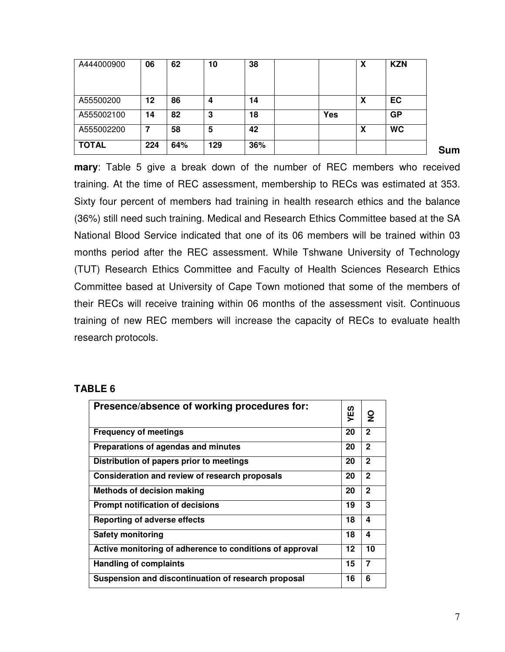| A444000900   | 06  | 62  | 10  | 38  |     | χ | <b>KZN</b> |
|--------------|-----|-----|-----|-----|-----|---|------------|
| A55500200    | 12  | 86  | 4   | 14  |     | x | EC         |
| A555002100   | 14  | 82  | 3   | 18  | Yes |   | <b>GP</b>  |
| A555002200   | 7   | 58  | 5   | 42  |     | χ | <b>WC</b>  |
| <b>TOTAL</b> | 224 | 64% | 129 | 36% |     |   |            |

**Sum**

**mary**: Table 5 give a break down of the number of REC members who received training. At the time of REC assessment, membership to RECs was estimated at 353. Sixty four percent of members had training in health research ethics and the balance (36%) still need such training. Medical and Research Ethics Committee based at the SA National Blood Service indicated that one of its 06 members will be trained within 03 months period after the REC assessment. While Tshwane University of Technology (TUT) Research Ethics Committee and Faculty of Health Sciences Research Ethics Committee based at University of Cape Town motioned that some of the members of their RECs will receive training within 06 months of the assessment visit. Continuous training of new REC members will increase the capacity of RECs to evaluate health research protocols.

## **TABLE 6**

| Presence/absence of working procedures for:              | ΥES | $\overline{2}$ |
|----------------------------------------------------------|-----|----------------|
| <b>Frequency of meetings</b>                             | 20  | $\mathbf{2}$   |
| Preparations of agendas and minutes                      | 20  | $\mathbf{2}$   |
| Distribution of papers prior to meetings                 | 20  | $\mathbf{2}$   |
| Consideration and review of research proposals           | 20  | $\mathbf{2}$   |
| <b>Methods of decision making</b>                        | 20  | $\mathbf{2}$   |
| <b>Prompt notification of decisions</b>                  | 19  | 3              |
| <b>Reporting of adverse effects</b>                      | 18  | 4              |
| Safety monitoring                                        | 18  | 4              |
| Active monitoring of adherence to conditions of approval | 12  | 10             |
| <b>Handling of complaints</b>                            | 15  | $\overline{7}$ |
| Suspension and discontinuation of research proposal      | 16  | 6              |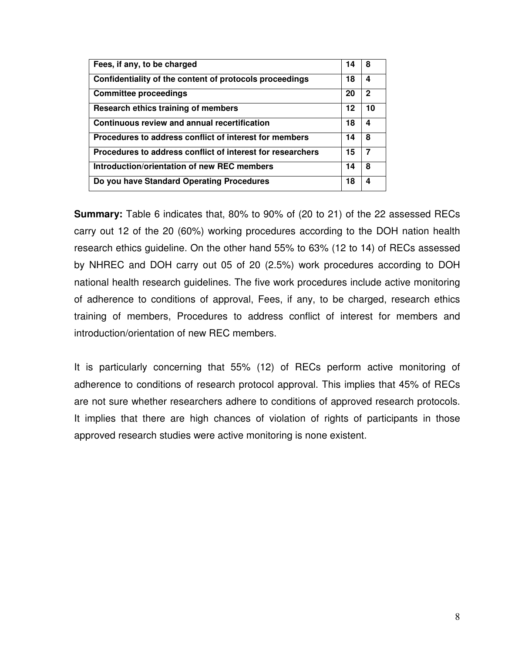| Fees, if any, to be charged                                | 14 | 8            |
|------------------------------------------------------------|----|--------------|
| Confidentiality of the content of protocols proceedings    | 18 | 4            |
| <b>Committee proceedings</b>                               | 20 | $\mathbf{2}$ |
| Research ethics training of members                        | 12 | 10           |
| Continuous review and annual recertification               | 18 | 4            |
| Procedures to address conflict of interest for members     | 14 | 8            |
| Procedures to address conflict of interest for researchers | 15 | 7            |
| Introduction/orientation of new REC members                | 14 | 8            |
| Do you have Standard Operating Procedures                  | 18 | 4            |

**Summary:** Table 6 indicates that, 80% to 90% of (20 to 21) of the 22 assessed RECs carry out 12 of the 20 (60%) working procedures according to the DOH nation health research ethics guideline. On the other hand 55% to 63% (12 to 14) of RECs assessed by NHREC and DOH carry out 05 of 20 (2.5%) work procedures according to DOH national health research guidelines. The five work procedures include active monitoring of adherence to conditions of approval, Fees, if any, to be charged, research ethics training of members, Procedures to address conflict of interest for members and introduction/orientation of new REC members.

It is particularly concerning that 55% (12) of RECs perform active monitoring of adherence to conditions of research protocol approval. This implies that 45% of RECs are not sure whether researchers adhere to conditions of approved research protocols. It implies that there are high chances of violation of rights of participants in those approved research studies were active monitoring is none existent.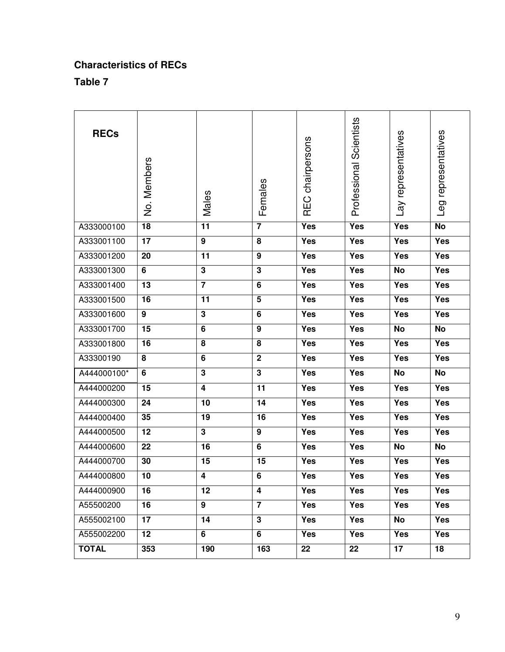## **Characteristics of RECs**

**Table 7** 

| <b>RECs</b>  | No. Members     | Males                   | Females                 | REC chairpersons | Professional Scientists | Lay representatives | Leg representatives |
|--------------|-----------------|-------------------------|-------------------------|------------------|-------------------------|---------------------|---------------------|
| A333000100   | $\overline{18}$ | $\overline{11}$         | $\overline{7}$          | Yes              | Yes                     | Yes                 | $\overline{N}$      |
| A333001100   | 17              | 9                       | 8                       | Yes              | Yes                     | Yes                 | <b>Yes</b>          |
| A333001200   | 20              | 11                      | 9                       | Yes              | Yes                     | Yes                 | Yes                 |
| A333001300   | 6               | $\mathbf{3}$            | $\overline{\mathbf{3}}$ | <b>Yes</b>       | Yes                     | <b>No</b>           | <b>Yes</b>          |
| A333001400   | 13              | $\overline{7}$          | $\overline{6}$          | Yes              | <b>Yes</b>              | Yes                 | <b>Yes</b>          |
| A333001500   | 16              | 11                      | 5                       | Yes              | Yes                     | Yes                 | Yes                 |
| A333001600   | 9               | $\overline{\mathbf{3}}$ | 6                       | Yes              | Yes                     | Yes                 | Yes                 |
| A333001700   | 15              | 6                       | 9                       | Yes              | Yes                     | <b>No</b>           | <b>No</b>           |
| A333001800   | 16              | 8                       | 8                       | Yes              | Yes                     | Yes                 | Yes                 |
| A33300190    | 8               | 6                       | $\overline{2}$          | Yes              | Yes                     | Yes                 | Yes                 |
| A444000100*  | 6               | $\overline{\mathbf{3}}$ | $\overline{\mathbf{3}}$ | Yes              | $\overline{Y}$ es       | No                  | No                  |
| A444000200   | $\overline{15}$ | $\overline{\mathbf{4}}$ | $\overline{11}$         | Yes              | Yes                     | Yes                 | Yes                 |
| A444000300   | 24              | 10                      | 14                      | Yes              | Yes                     | Yes                 | Yes                 |
| A444000400   | 35              | 19                      | 16                      | Yes              | Yes                     | Yes                 | Yes                 |
| A444000500   | 12              | $\mathbf{3}$            | 9                       | Yes              | Yes                     | Yes                 | Yes                 |
| A444000600   | 22              | 16                      | 6                       | Yes              | Yes                     | <b>No</b>           | <b>No</b>           |
| A444000700   | 30              | 15                      | 15                      | Yes              | Yes                     | Yes                 | $\overline{Y}$ es   |
| A444000800   | 10              | 4                       | 6                       | Yes              | Yes                     | Yes                 | Yes                 |
| A444000900   | 16              | 12                      | $\overline{4}$          | Yes              | Yes                     | Yes                 | Yes                 |
| A55500200    | $\overline{16}$ | $\overline{9}$          | $\overline{7}$          | Yes              | Yes                     | Yes                 | Yes                 |
| A555002100   | 17              | 14                      | $\overline{3}$          | Yes              | Yes                     | $\overline{N}$      | <b>Yes</b>          |
| A555002200   | 12 <sub>2</sub> | 6                       | 6                       | Yes              | Yes                     | Yes                 | Yes                 |
| <b>TOTAL</b> | 353             | 190                     | 163                     | 22               | 22                      | 17                  | 18                  |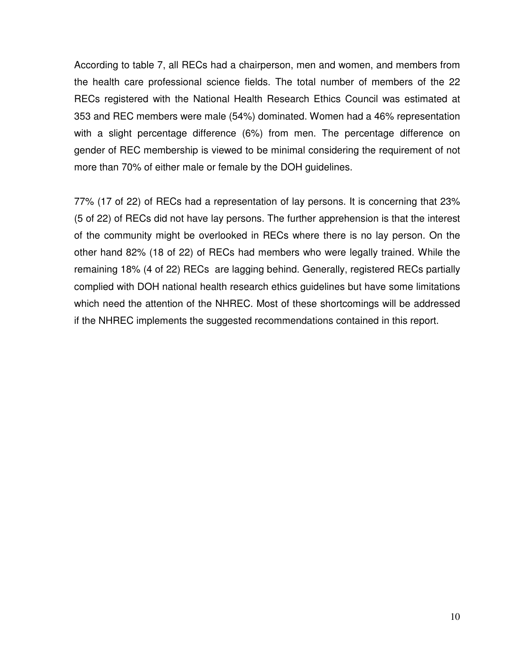According to table 7, all RECs had a chairperson, men and women, and members from the health care professional science fields. The total number of members of the 22 RECs registered with the National Health Research Ethics Council was estimated at 353 and REC members were male (54%) dominated. Women had a 46% representation with a slight percentage difference (6%) from men. The percentage difference on gender of REC membership is viewed to be minimal considering the requirement of not more than 70% of either male or female by the DOH guidelines.

77% (17 of 22) of RECs had a representation of lay persons. It is concerning that 23% (5 of 22) of RECs did not have lay persons. The further apprehension is that the interest of the community might be overlooked in RECs where there is no lay person. On the other hand 82% (18 of 22) of RECs had members who were legally trained. While the remaining 18% (4 of 22) RECs are lagging behind. Generally, registered RECs partially complied with DOH national health research ethics guidelines but have some limitations which need the attention of the NHREC. Most of these shortcomings will be addressed if the NHREC implements the suggested recommendations contained in this report.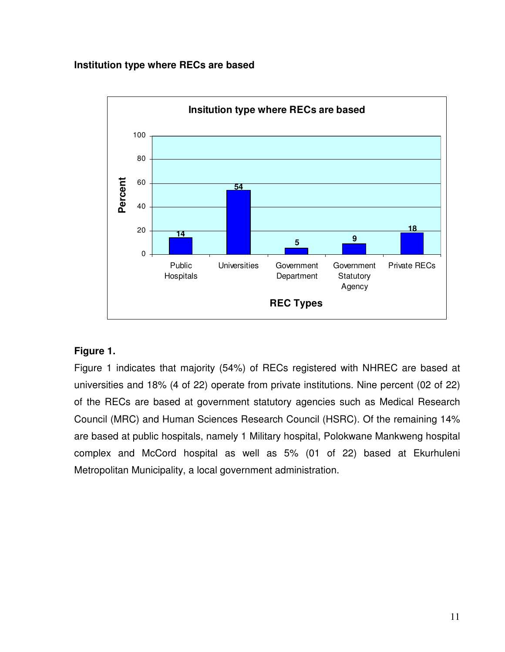#### **Institution type where RECs are based**



## **Figure 1.**

Figure 1 indicates that majority (54%) of RECs registered with NHREC are based at universities and 18% (4 of 22) operate from private institutions. Nine percent (02 of 22) of the RECs are based at government statutory agencies such as Medical Research Council (MRC) and Human Sciences Research Council (HSRC). Of the remaining 14% are based at public hospitals, namely 1 Military hospital, Polokwane Mankweng hospital complex and McCord hospital as well as 5% (01 of 22) based at Ekurhuleni Metropolitan Municipality, a local government administration.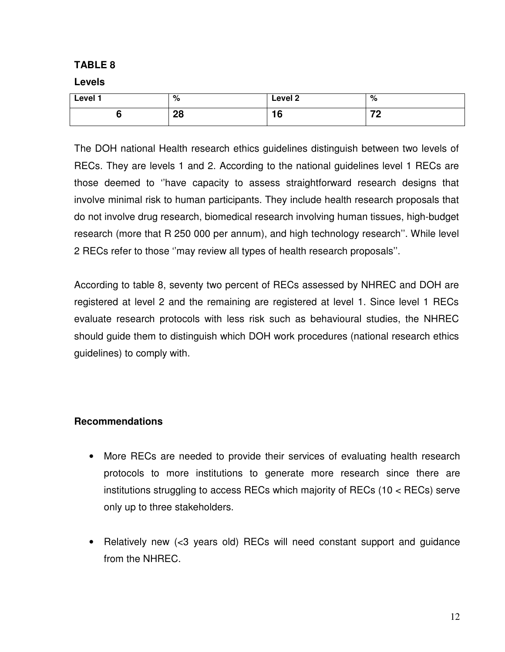#### **TABLE 8**

#### **Levels**

| Level 1 | $\mathbf{C}$<br>7٥ | Level 2         | %  |
|---------|--------------------|-----------------|----|
|         | იი<br>ZU           | $\epsilon$<br>u | 70 |

The DOH national Health research ethics guidelines distinguish between two levels of RECs. They are levels 1 and 2. According to the national guidelines level 1 RECs are those deemed to ''have capacity to assess straightforward research designs that involve minimal risk to human participants. They include health research proposals that do not involve drug research, biomedical research involving human tissues, high-budget research (more that R 250 000 per annum), and high technology research''. While level 2 RECs refer to those ''may review all types of health research proposals''.

According to table 8, seventy two percent of RECs assessed by NHREC and DOH are registered at level 2 and the remaining are registered at level 1. Since level 1 RECs evaluate research protocols with less risk such as behavioural studies, the NHREC should guide them to distinguish which DOH work procedures (national research ethics guidelines) to comply with.

## **Recommendations**

- More RECs are needed to provide their services of evaluating health research protocols to more institutions to generate more research since there are institutions struggling to access RECs which majority of RECs (10 < RECs) serve only up to three stakeholders.
- Relatively new (<3 years old) RECs will need constant support and guidance from the NHREC.